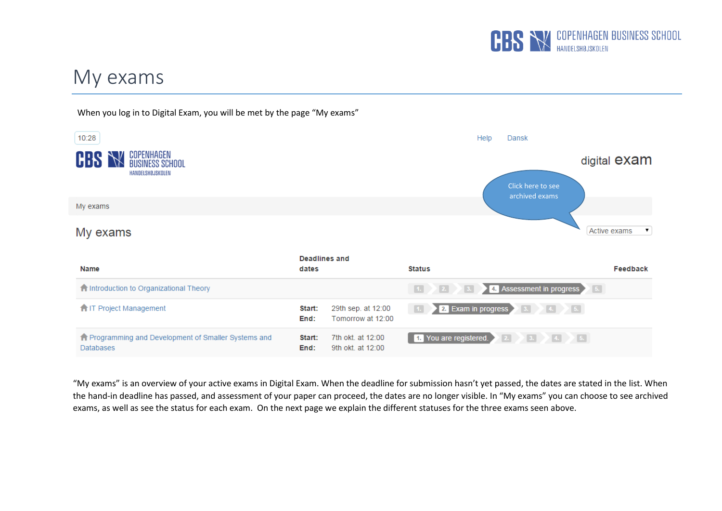

## My exams



"My exams" is an overview of your active exams in Digital Exam. When the deadline for submission hasn't yet passed, the dates are stated in the list. When the hand-in deadline has passed, and assessment of your paper can proceed, the dates are no longer visible. In "My exams" you can choose to see archived exams, as well as see the status for each exam. On the next page we explain the different statuses for the three exams seen above.